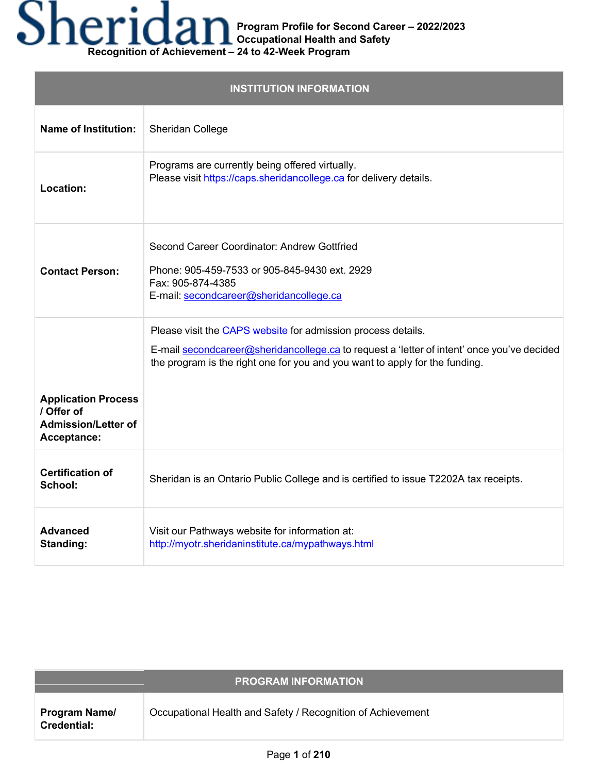# **Recognition of Achievement – 24 to 42-Week Program**

| <b>INSTITUTION INFORMATION</b>                                                        |                                                                                                                                                                                                                                           |
|---------------------------------------------------------------------------------------|-------------------------------------------------------------------------------------------------------------------------------------------------------------------------------------------------------------------------------------------|
| <b>Name of Institution:</b>                                                           | Sheridan College                                                                                                                                                                                                                          |
| Location:                                                                             | Programs are currently being offered virtually.<br>Please visit https://caps.sheridancollege.ca for delivery details.                                                                                                                     |
| <b>Contact Person:</b>                                                                | Second Career Coordinator: Andrew Gottfried<br>Phone: 905-459-7533 or 905-845-9430 ext. 2929<br>Fax: 905-874-4385<br>E-mail: secondcareer@sheridancollege.ca                                                                              |
|                                                                                       | Please visit the CAPS website for admission process details.<br>E-mail secondcareer@sheridancollege.ca to request a 'letter of intent' once you've decided<br>the program is the right one for you and you want to apply for the funding. |
| <b>Application Process</b><br>/ Offer of<br><b>Admission/Letter of</b><br>Acceptance: |                                                                                                                                                                                                                                           |
| <b>Certification of</b><br>School:                                                    | Sheridan is an Ontario Public College and is certified to issue T2202A tax receipts.                                                                                                                                                      |
| <b>Advanced</b><br>Standing:                                                          | Visit our Pathways website for information at:<br>http://myotr.sheridaninstitute.ca/mypathways.html                                                                                                                                       |

|                                            | <b>PROGRAM INFORMATION</b>                                  |
|--------------------------------------------|-------------------------------------------------------------|
| <b>Program Name/</b><br><b>Credential:</b> | Occupational Health and Safety / Recognition of Achievement |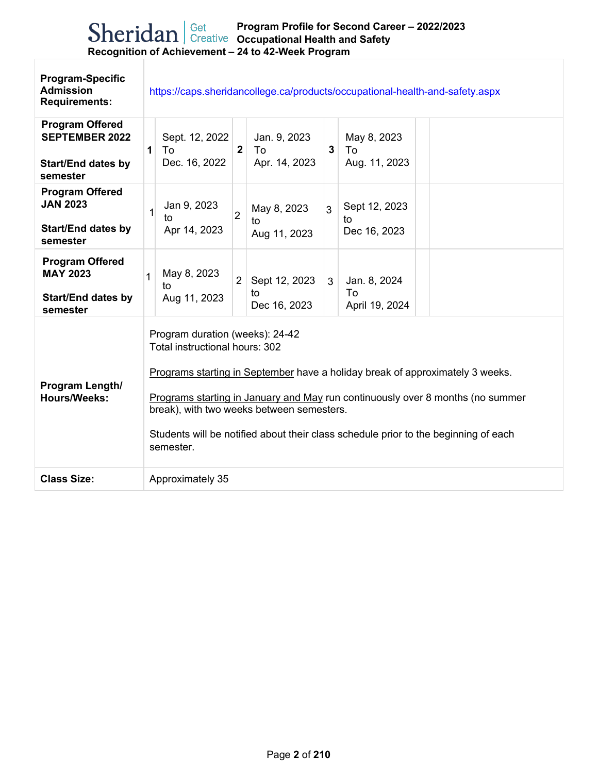| <b>Program-Specific</b><br><b>Admission</b><br><b>Requirements:</b>                      | https://caps.sheridancollege.ca/products/occupational-health-and-safety.aspx                                                                                                                                                                                                                                                                                                          |
|------------------------------------------------------------------------------------------|---------------------------------------------------------------------------------------------------------------------------------------------------------------------------------------------------------------------------------------------------------------------------------------------------------------------------------------------------------------------------------------|
| <b>Program Offered</b><br><b>SEPTEMBER 2022</b><br><b>Start/End dates by</b><br>semester | Sept. 12, 2022<br>Jan. 9, 2023<br>May 8, 2023<br>$\overline{2}$<br>To<br>To<br>3<br>To<br>$\mathbf 1$<br>Dec. 16, 2022<br>Apr. 14, 2023<br>Aug. 11, 2023                                                                                                                                                                                                                              |
| <b>Program Offered</b><br><b>JAN 2023</b><br><b>Start/End dates by</b><br>semester       | Jan 9, 2023<br>Sept 12, 2023<br>May 8, 2023<br>3<br>$\mathbf 1$<br>$\overline{2}$<br>to<br>to<br>to<br>Apr 14, 2023<br>Dec 16, 2023<br>Aug 11, 2023                                                                                                                                                                                                                                   |
| <b>Program Offered</b><br><b>MAY 2023</b><br><b>Start/End dates by</b><br>semester       | May 8, 2023<br>1<br>2 <sup>1</sup><br>Sept 12, 2023<br>Jan. 8, 2024<br>3 <sup>1</sup><br>to<br>To<br>to<br>Aug 11, 2023<br>Dec 16, 2023<br>April 19, 2024                                                                                                                                                                                                                             |
| Program Length/<br><b>Hours/Weeks:</b>                                                   | Program duration (weeks): 24-42<br>Total instructional hours: 302<br>Programs starting in September have a holiday break of approximately 3 weeks.<br>Programs starting in January and May run continuously over 8 months (no summer<br>break), with two weeks between semesters.<br>Students will be notified about their class schedule prior to the beginning of each<br>semester. |
| <b>Class Size:</b>                                                                       | Approximately 35                                                                                                                                                                                                                                                                                                                                                                      |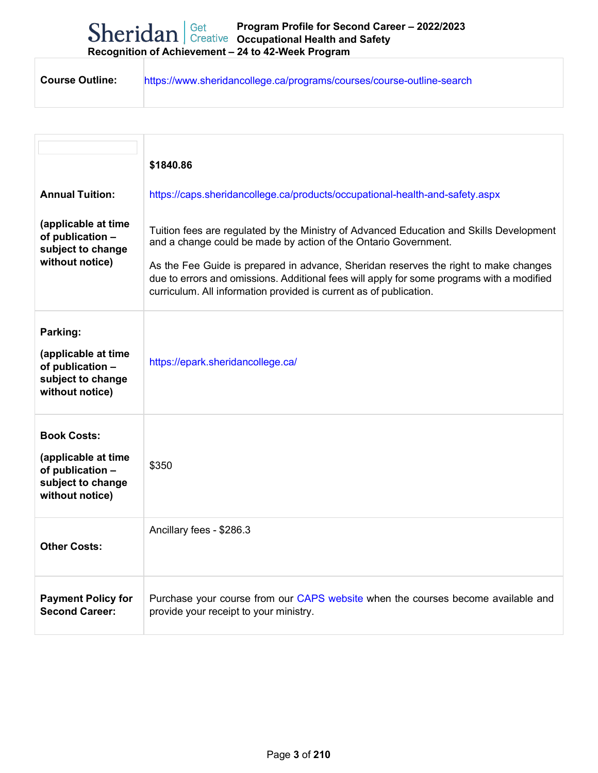| <b>Course Outline:</b><br>https://www.sheridancollege.ca/programs/courses/course-outline-search |
|-------------------------------------------------------------------------------------------------|
|-------------------------------------------------------------------------------------------------|

| <b>Annual Tuition:</b><br>(applicable at time<br>of publication -<br>subject to change<br>without notice) | \$1840.86<br>https://caps.sheridancollege.ca/products/occupational-health-and-safety.aspx<br>Tuition fees are regulated by the Ministry of Advanced Education and Skills Development<br>and a change could be made by action of the Ontario Government.<br>As the Fee Guide is prepared in advance, Sheridan reserves the right to make changes<br>due to errors and omissions. Additional fees will apply for some programs with a modified<br>curriculum. All information provided is current as of publication. |
|-----------------------------------------------------------------------------------------------------------|--------------------------------------------------------------------------------------------------------------------------------------------------------------------------------------------------------------------------------------------------------------------------------------------------------------------------------------------------------------------------------------------------------------------------------------------------------------------------------------------------------------------|
| Parking:<br>(applicable at time<br>of publication -<br>subject to change<br>without notice)               | https://epark.sheridancollege.ca/                                                                                                                                                                                                                                                                                                                                                                                                                                                                                  |
| <b>Book Costs:</b><br>(applicable at time<br>of publication -<br>subject to change<br>without notice)     | \$350                                                                                                                                                                                                                                                                                                                                                                                                                                                                                                              |
| <b>Other Costs:</b>                                                                                       | Ancillary fees - \$286.3                                                                                                                                                                                                                                                                                                                                                                                                                                                                                           |
| <b>Payment Policy for</b><br><b>Second Career:</b>                                                        | Purchase your course from our CAPS website when the courses become available and<br>provide your receipt to your ministry.                                                                                                                                                                                                                                                                                                                                                                                         |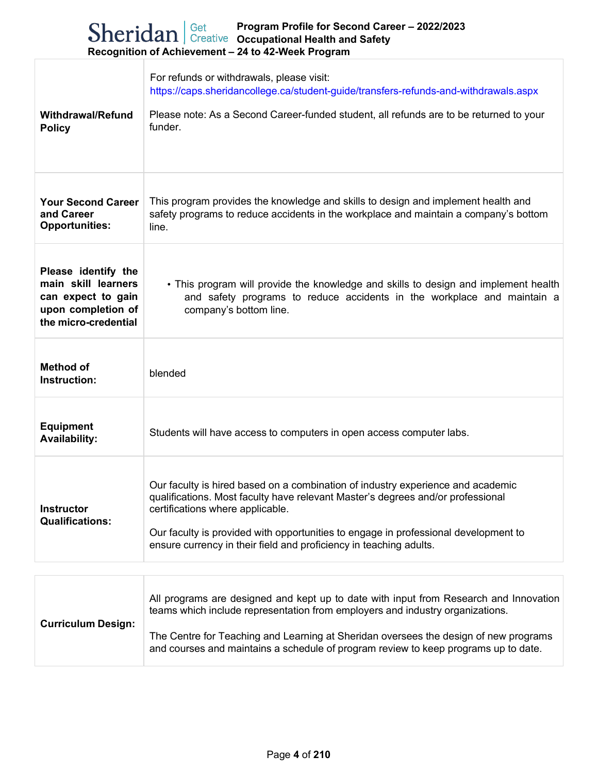| <b>Withdrawal/Refund</b><br><b>Policy</b>                                                                      | For refunds or withdrawals, please visit:<br>https://caps.sheridancollege.ca/student-guide/transfers-refunds-and-withdrawals.aspx<br>Please note: As a Second Career-funded student, all refunds are to be returned to your<br>funder.                                                                                                                              |
|----------------------------------------------------------------------------------------------------------------|---------------------------------------------------------------------------------------------------------------------------------------------------------------------------------------------------------------------------------------------------------------------------------------------------------------------------------------------------------------------|
| <b>Your Second Career</b><br>and Career<br><b>Opportunities:</b>                                               | This program provides the knowledge and skills to design and implement health and<br>safety programs to reduce accidents in the workplace and maintain a company's bottom<br>line.                                                                                                                                                                                  |
| Please identify the<br>main skill learners<br>can expect to gain<br>upon completion of<br>the micro-credential | • This program will provide the knowledge and skills to design and implement health<br>and safety programs to reduce accidents in the workplace and maintain a<br>company's bottom line.                                                                                                                                                                            |
| <b>Method of</b><br>Instruction:                                                                               | blended                                                                                                                                                                                                                                                                                                                                                             |
| <b>Equipment</b><br><b>Availability:</b>                                                                       | Students will have access to computers in open access computer labs.                                                                                                                                                                                                                                                                                                |
| <b>Instructor</b><br><b>Qualifications:</b>                                                                    | Our faculty is hired based on a combination of industry experience and academic<br>qualifications. Most faculty have relevant Master's degrees and/or professional<br>certifications where applicable.<br>Our faculty is provided with opportunities to engage in professional development to<br>ensure currency in their field and proficiency in teaching adults. |

| <b>Curriculum Design:</b> | All programs are designed and kept up to date with input from Research and Innovation<br>teams which include representation from employers and industry organizations.      |
|---------------------------|-----------------------------------------------------------------------------------------------------------------------------------------------------------------------------|
|                           | The Centre for Teaching and Learning at Sheridan oversees the design of new programs<br>and courses and maintains a schedule of program review to keep programs up to date. |